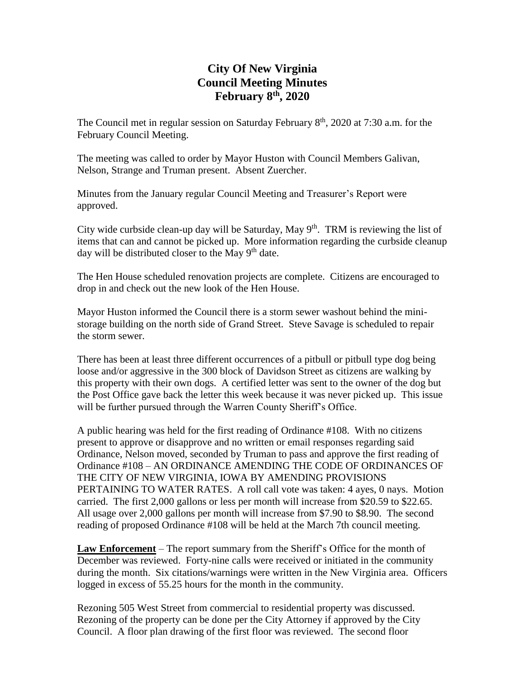# **City Of New Virginia Council Meeting Minutes February 8th, 2020**

The Council met in regular session on Saturday February  $8<sup>th</sup>$ , 2020 at 7:30 a.m. for the February Council Meeting.

The meeting was called to order by Mayor Huston with Council Members Galivan, Nelson, Strange and Truman present. Absent Zuercher.

Minutes from the January regular Council Meeting and Treasurer's Report were approved.

City wide curbside clean-up day will be Saturday, May  $9<sup>th</sup>$ . TRM is reviewing the list of items that can and cannot be picked up. More information regarding the curbside cleanup day will be distributed closer to the May  $9<sup>th</sup>$  date.

The Hen House scheduled renovation projects are complete. Citizens are encouraged to drop in and check out the new look of the Hen House.

Mayor Huston informed the Council there is a storm sewer washout behind the ministorage building on the north side of Grand Street. Steve Savage is scheduled to repair the storm sewer.

There has been at least three different occurrences of a pitbull or pitbull type dog being loose and/or aggressive in the 300 block of Davidson Street as citizens are walking by this property with their own dogs. A certified letter was sent to the owner of the dog but the Post Office gave back the letter this week because it was never picked up. This issue will be further pursued through the Warren County Sheriff's Office.

A public hearing was held for the first reading of Ordinance #108. With no citizens present to approve or disapprove and no written or email responses regarding said Ordinance, Nelson moved, seconded by Truman to pass and approve the first reading of Ordinance #108 – AN ORDINANCE AMENDING THE CODE OF ORDINANCES OF THE CITY OF NEW VIRGINIA, IOWA BY AMENDING PROVISIONS PERTAINING TO WATER RATES. A roll call vote was taken: 4 ayes, 0 nays. Motion carried. The first 2,000 gallons or less per month will increase from \$20.59 to \$22.65. All usage over 2,000 gallons per month will increase from \$7.90 to \$8.90. The second reading of proposed Ordinance #108 will be held at the March 7th council meeting.

**Law Enforcement** – The report summary from the Sheriff's Office for the month of December was reviewed. Forty-nine calls were received or initiated in the community during the month. Six citations/warnings were written in the New Virginia area. Officers logged in excess of 55.25 hours for the month in the community.

Rezoning 505 West Street from commercial to residential property was discussed. Rezoning of the property can be done per the City Attorney if approved by the City Council. A floor plan drawing of the first floor was reviewed. The second floor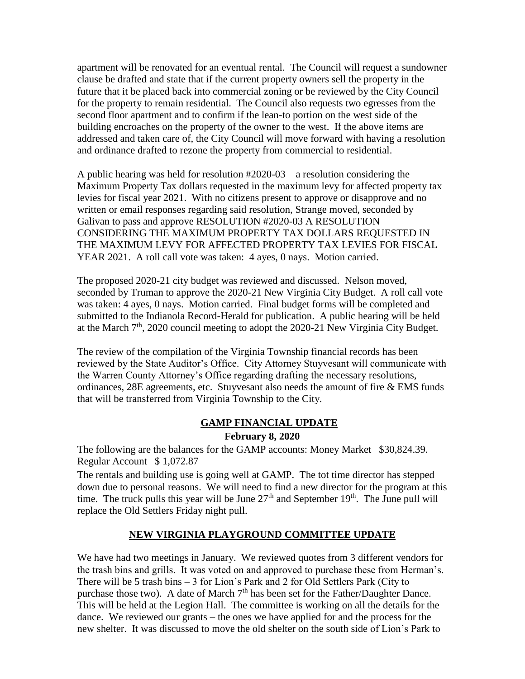apartment will be renovated for an eventual rental. The Council will request a sundowner clause be drafted and state that if the current property owners sell the property in the future that it be placed back into commercial zoning or be reviewed by the City Council for the property to remain residential. The Council also requests two egresses from the second floor apartment and to confirm if the lean-to portion on the west side of the building encroaches on the property of the owner to the west. If the above items are addressed and taken care of, the City Council will move forward with having a resolution and ordinance drafted to rezone the property from commercial to residential.

A public hearing was held for resolution #2020-03 – a resolution considering the Maximum Property Tax dollars requested in the maximum levy for affected property tax levies for fiscal year 2021. With no citizens present to approve or disapprove and no written or email responses regarding said resolution, Strange moved, seconded by Galivan to pass and approve RESOLUTION #2020-03 A RESOLUTION CONSIDERING THE MAXIMUM PROPERTY TAX DOLLARS REQUESTED IN THE MAXIMUM LEVY FOR AFFECTED PROPERTY TAX LEVIES FOR FISCAL YEAR 2021. A roll call vote was taken: 4 ayes, 0 nays. Motion carried.

The proposed 2020-21 city budget was reviewed and discussed. Nelson moved, seconded by Truman to approve the 2020-21 New Virginia City Budget. A roll call vote was taken: 4 ayes, 0 nays. Motion carried. Final budget forms will be completed and submitted to the Indianola Record-Herald for publication. A public hearing will be held at the March  $7<sup>th</sup>$ , 2020 council meeting to adopt the 2020-21 New Virginia City Budget.

The review of the compilation of the Virginia Township financial records has been reviewed by the State Auditor's Office. City Attorney Stuyvesant will communicate with the Warren County Attorney's Office regarding drafting the necessary resolutions, ordinances, 28E agreements, etc. Stuyvesant also needs the amount of fire & EMS funds that will be transferred from Virginia Township to the City.

### **GAMP FINANCIAL UPDATE**

### **February 8, 2020**

The following are the balances for the GAMP accounts: Money Market \$30,824.39. Regular Account \$ 1,072.87

The rentals and building use is going well at GAMP. The tot time director has stepped down due to personal reasons. We will need to find a new director for the program at this time. The truck pulls this year will be June  $27<sup>th</sup>$  and September 19<sup>th</sup>. The June pull will replace the Old Settlers Friday night pull.

## **NEW VIRGINIA PLAYGROUND COMMITTEE UPDATE**

We have had two meetings in January. We reviewed quotes from 3 different vendors for the trash bins and grills. It was voted on and approved to purchase these from Herman's. There will be 5 trash bins – 3 for Lion's Park and 2 for Old Settlers Park (City to purchase those two). A date of March 7<sup>th</sup> has been set for the Father/Daughter Dance. This will be held at the Legion Hall. The committee is working on all the details for the dance. We reviewed our grants – the ones we have applied for and the process for the new shelter. It was discussed to move the old shelter on the south side of Lion's Park to